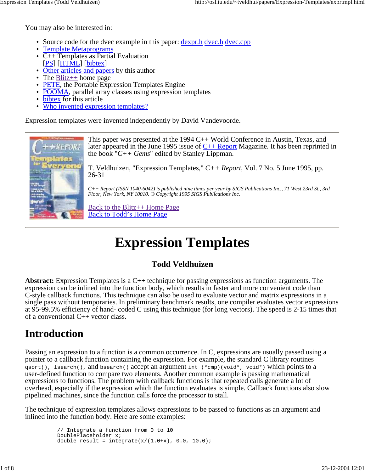You may also be interested in:

- Source code for the dvec example in this paper: <u>dexpr.h dvec.h dvec.cpp</u>
- Template Metaprograms
- $\overline{C}$ ++ Templates as Partial Evaluation [PS] [HTML] [bibtex]
- Other articles and papers by this author
- The  $\frac{Blitz++}{home}$  home page
- PETE, the Portable Expression Templates Engine
- POOMA, parallel array classes using expression templates
- bibtex for this article
- Who invented expression templates?

Expression templates were invented independently by David Vandevoorde.

This paper was presented at the 1994 C++ World Conference in Austin, Texas, and later appeared in the June 1995 issue of  $C_{++}$  Report Magazine. It has been reprinted in the book "*C++ Gems*" edited by Stanley Lippman.

**KEPORT TIGGS HAYSAR** 

T. Veldhuizen, "Expression Templates," *C++ Report*, Vol. 7 No. 5 June 1995, pp. 26-31

*C++ Report (ISSN 1040-6042) is published nine times per year by SIGS Publications Inc., 71 West 23rd St., 3rd Floor, New York, NY 10010. © Copyright 1995 SIGS Publications Inc.*

Back to the Blitz++ Home Page Back to Todd's Home Page

# **Expression Templates**

#### **Todd Veldhuizen**

**Abstract:** Expression Templates is a C++ technique for passing expressions as function arguments. The expression can be inlined into the function body, which results in faster and more convenient code than C-style callback functions. This technique can also be used to evaluate vector and matrix expressions in a single pass without temporaries. In preliminary benchmark results, one compiler evaluates vector expressions at 95-99.5% efficiency of hand- coded C using this technique (for long vectors). The speed is 2-15 times that of a conventional C++ vector class.

## **Introduction**

Passing an expression to a function is a common occurrence. In C, expressions are usually passed using a pointer to a callback function containing the expression. For example, the standard C library routines qsort(), lsearch(), and bsearch() accept an argument int (\*cmp)(void\*, void\*) which points to a user-defined function to compare two elements. Another common example is passing mathematical expressions to functions. The problem with callback functions is that repeated calls generate a lot of overhead, especially if the expression which the function evaluates is simple. Callback functions also slow pipelined machines, since the function calls force the processor to stall.

The technique of expression templates allows expressions to be passed to functions as an argument and inlined into the function body. Here are some examples:

```
 // Integrate a function from 0 to 10
 DoublePlaceholder x;
double result = integrate(x/(1.0+x), 0.0, 10.0);
```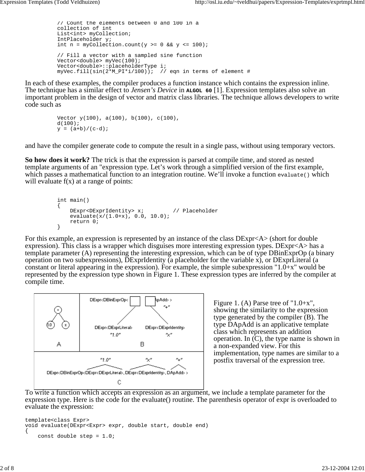```
 // Count the elements between 0 and 100 in a
 collection of int
 List<int> myCollection;
 IntPlaceholder y;
int n = myCollection.count(y >= 0 &amp; x \ y <= 100); // Fill a vector with a sampled sine function
 Vector<double> myVec(100);
 Vector<double>::placeholderType i;
myVec.fill(sin(2*M_PI*i/100)); // eqn in terms of element #
```
In each of these examples, the compiler produces a function instance which contains the expression inline. The technique has a similar effect to *Jensen's Device* in **ALGOL 60** [1]. Expression templates also solve an important problem in the design of vector and matrix class libraries. The technique allows developers to write code such as

```
 Vector y(100), a(100), b(100), c(100),
d(100);y = (a+b)/(c-d);
```
and have the compiler generate code to compute the result in a single pass, without using temporary vectors.

**So how does it work?** The trick is that the expression is parsed at compile time, and stored as nested template arguments of an "expression type. Let's work through a simplified version of the first example, which passes a mathematical function to an integration routine. We'll invoke a function evaluate() which will evaluate  $f(x)$  at a range of points:

```
 int main()
\{DExpr<DExprIdentity> x; // Placeholder
            \frac{1}{2} evaluate(x/(1.0+x), 0.0, 10.0);
         return 0;<br>}
 }
```
For this example, an expression is represented by an instance of the class DExpr<A> (short for double expression). This class is a wrapper which disguises more interesting expression types. DExpr<A> has a template parameter (A) representing the interesting expression, which can be of type DBinExprOp (a binary operation on two subexpressions), DExprIdentity (a placeholder for the variable x), or DExprLiteral (a constant or literal appearing in the expression). For example, the simple subexpression "1.0+x" would be represented by the expression type shown in Figure 1. These expression types are inferred by the compiler at compile time.



Figure 1. (A) Parse tree of "1.0+x", showing the similarity to the expression type generated by the compiler (B). The type DApAdd is an applicative template class which represents an addition operation. In (C), the type name is shown in a non-expanded view. For this implementation, type names are similar to a postfix traversal of the expression tree.

To write a function which accepts an expression as an argument, we include a template parameter for the expression type. Here is the code for the evaluate() routine. The parenthesis operator of expr is overloaded to evaluate the expression:

```
template<class Expr>
void evaluate(DExpr<Expr> expr, double start, double end)
{
     const double step = 1.0;
```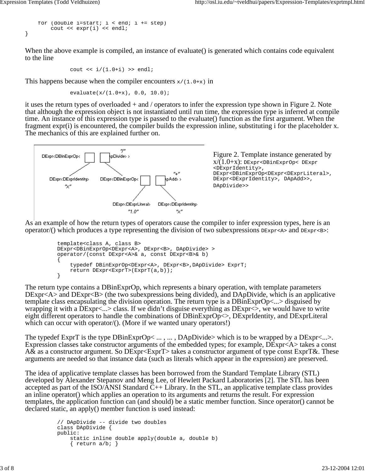```
for (double i=start; i < end; i += step)
         cout << expr(i) << endl;
}
```
When the above example is compiled, an instance of evaluate() is generated which contains code equivalent to the line

cout  $\langle i/(1.0+i) \rangle$  >> endl;

This happens because when the compiler encounters  $x/(1.0+x)$  in

```
 evaluate(x/(1.0+x), 0.0, 10.0);
```
it uses the return types of overloaded + and / operators to infer the expression type shown in Figure 2. Note that although the expression object is not instantiated until run time, the expression type is inferred at compile time. An instance of this expression type is passed to the evaluate() function as the first argument. When the fragment expr(i) is encountered, the compiler builds the expression inline, substituting i for the placeholder x. The mechanics of this are explained further on.



As an example of how the return types of operators cause the compiler to infer expression types, here is an operator/() which produces a type representing the division of two subexpressions  $DE_{\text{XPT}}< A$  and  $DE_{\text{XPT}}< B$ :

```
 template<class A, class B>
          DExpr<DBinExprOp<DExpr<A>, DExpr<B>, DApDivide> >
          operator/(const DExpr<A>& a, const DExpr<B>& b)
\{ typedef DBinExprOp<DExpr<A>, DExpr<B>,DApDivide> ExprT;
         return DExpr<ExprT>(ExprT(a,b));<br>}
 }
```
The return type contains a DBinExprOp, which represents a binary operation, with template parameters DExpr<A> and DExpr<B> (the two subexpressions being divided), and DApDivide, which is an applicative template class encapsulating the division operation. The return type is a DBinExprOp<...> disguised by wrapping it with a DExpr<...> class. If we didn't disguise everything as DExpr<>, we would have to write eight different operators to handle the combinations of DBinExprOp<>, DExprIdentity, and DExprLiteral which can occur with operator/(). (More if we wanted unary operators!)

The typedef ExprT is the type  $DBinExpCpc...$ , ...,  $DApDivide >$  which is to be wrapped by a  $DExpr\langle ... \rangle$ . Expression classes take constructor arguments of the embedded types; for example, DExpr<A> takes a const A& as a constructor argument. So DExpr<ExprT> takes a constructor argument of type const ExprT&. These arguments are needed so that instance data (such as literals which appear in the expression) are preserved.

The idea of applicative template classes has been borrowed from the Standard Template Library (STL) developed by Alexander Stepanov and Meng Lee, of Hewlett Packard Laboratories [2]. The STL has been accepted as part of the ISO/ANSI Standard C++ Library. In the STL, an applicative template class provides an inline operator() which applies an operation to its arguments and returns the result. For expression templates, the application function can (and should) be a static member function. Since operator() cannot be declared static, an apply() member function is used instead:

```
 // DApDivide -- divide two doubles
 class DApDivide {
 public:
     static inline double apply(double a, double b)
    { return a/b; }
```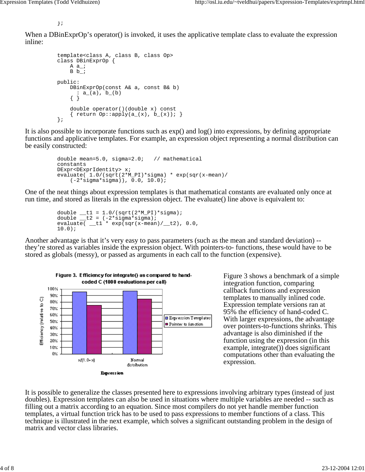};

When a DBinExprOp's operator() is invoked, it uses the applicative template class to evaluate the expression inline:

```
 template<class A, class B, class Op>
           class DBinExprOp {
               A a_;
              B b_;
          public:
               DBinExprOp(const A& a, const B& b)
               : a_-(a), b_-(b)\{\quad\} double operator()(double x) const
              { return Op::apply(a_(x), b_(x)); }
           };
```
It is also possible to incorporate functions such as exp() and log() into expressions, by defining appropriate functions and applicative templates. For example, an expression object representing a normal distribution can be easily constructed:

```
 double mean=5.0, sigma=2.0; // mathematical
 constants
 DExpr<DExprIdentity> x;
 evaluate( 1.0/(sqrt(2*M_PI)*sigma) * exp(sqr(x-mean)/
     (-2*sigma*sigma)), 0.0, 10.0);
```
One of the neat things about expression templates is that mathematical constants are evaluated only once at run time, and stored as literals in the expression object. The evaluate() line above is equivalent to:

```
double _t1 = 1.0/(sqrt(2*M_PI)*sigma);double _t2 = (-2*sigma*sigma);
evaluate( _t1 * exp(sqr(x-mean)/i_12), 0.0,
 10.0);
```
Another advantage is that it's very easy to pass parameters (such as the mean and standard deviation) - they're stored as variables inside the expression object. With pointers-to- functions, these would have to be stored as globals (messy), or passed as arguments in each call to the function (expensive).



Figure 3 shows a benchmark of a simple integration function, comparing callback functions and expression templates to manually inlined code. Expression template versions ran at 95% the efficiency of hand-coded C. With larger expressions, the advantage over pointers-to-functions shrinks. This advantage is also diminished if the function using the expression (in this example, integrate()) does significant computations other than evaluating the expression.

It is possible to generalize the classes presented here to expressions involving arbitrary types (instead of just doubles). Expression templates can also be used in situations where multiple variables are needed -- such as filling out a matrix according to an equation. Since most compilers do not yet handle member function templates, a virtual function trick has to be used to pass expressions to member functions of a class. This technique is illustrated in the next example, which solves a significant outstanding problem in the design of matrix and vector class libraries.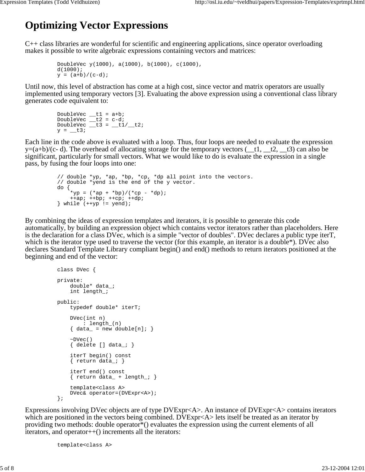## **Optimizing Vector Expressions**

C++ class libraries are wonderful for scientific and engineering applications, since operator overloading makes it possible to write algebraic expressions containing vectors and matrices:

```
 DoubleVec y(1000), a(1000), b(1000), c(1000),
 d(1000);
y = (a+b)/(c-d);
```
Until now, this level of abstraction has come at a high cost, since vector and matrix operators are usually implemented using temporary vectors [3]. Evaluating the above expression using a conventional class library generates code equivalent to:

```
DoubleVec _t1 = a+b;
DoubleVec _t2 = c-diDoubleVec _t3 = t1/12;
      y = t3;
```
Each line in the code above is evaluated with a loop. Thus, four loops are needed to evaluate the expression  $y=(a+b)/(c-d)$ . The overhead of allocating storage for the temporary vectors  $($ \_t1, \_t2, \_t3) can also be significant, particularly for small vectors. What we would like to do is evaluate the expression in a single pass, by fusing the four loops into one:

```
 // double *yp, *ap, *bp, *cp, *dp all point into the vectors.
 // double *yend is the end of the y vector.
         do {
            *yp = (*ap + *bp) / (*cp - *dp);+ap; +bp; +cp; +dp;
         } while (++yp != yend);
```
By combining the ideas of expression templates and iterators, it is possible to generate this code automatically, by building an expression object which contains vector iterators rather than placeholders. Here is the declaration for a class DVec, which is a simple "vector of doubles". DVec declares a public type iterT, which is the iterator type used to traverse the vector (for this example, an iterator is a double\*). DVec also declares Standard Template Library compliant begin() and end() methods to return iterators positioned at the beginning and end of the vector:

```
 class DVec {
 private:
     double* data_;
     int length_;
 public:
     typedef double* iterT;
     DVec(int n)
         : length_(n)
    \{ data = new double[n]; \}\neg DVec()\{ delete [ data_i }
     iterT begin() const
     { return data_; }
     iterT end() const
    \{ return data_ + length_; \} template<class A>
     DVec& operator=(DVExpr<A>);
 };
```
Expressions involving DVec objects are of type DVExpr<A>. An instance of DVExpr<A> contains iterators which are positioned in the vectors being combined. DVExpr<A> lets itself be treated as an iterator by providing two methods: double operator\*() evaluates the expression using the current elements of all iterators, and operator++() increments all the iterators:

template<class A>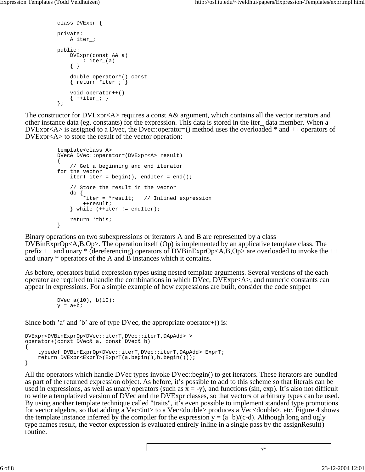```
 class DVExpr {
 private:
     A iter_;
 public:
     DVExpr(const A& a)
          : iter_(a)
     { }
     double operator*() const
    \{ return *iter_; \} void operator++()
    \{ ++iter_; \} };
```
The constructor for DVExpr<A> requires a const A& argument, which contains all the vector iterators and other instance data (eg. constants) for the expression. This data is stored in the iter\_ data member. When a DVExpr<A> is assigned to a Dvec, the Dvec::operator=() method uses the overloaded \* and ++ operators of DVExpr<A> to store the result of the vector operation:

```
 template<class A>
          DVec& DVec::operator=(DVExpr<A> result)
\{ // Get a beginning and end iterator
          for the vector
             iterT iter = begin(), endIter = end();
              // Store the result in the vector
              do {
                 *iter = *result; // Inlined expression
                  ++result;
             } while (++iter != endIter);return *this;<br>}
 }
```
Binary operations on two subexpressions or iterators A and B are represented by a class DVBinExprOp<A,B,Op>. The operation itself (Op) is implemented by an applicative template class. The prefix ++ and unary \* (dereferencing) operators of DVBinExprOp<A,B,Op> are overloaded to invoke the ++ and unary \* operators of the A and B instances which it contains.

As before, operators build expression types using nested template arguments. Several versions of the each operator are required to handle the combinations in which DVec, DVExpr<A>, and numeric constants can appear in expressions. For a simple example of how expressions are built, consider the code snippet

```
 DVec a(10), b(10);
y = a + bi
```
Since both 'a' and 'b' are of type DVec, the appropriate operator+() is:

```
DVExpr<DVBinExprOp<DVec::iterT,DVec::iterT,DApAdd> >
operator+(const DVec& a, const DVec& b)
{
     typedef DVBinExprOp<DVec::iterT,DVec::iterT,DApAdd> ExprT;
     return DVExpr<ExprT>(ExprT(a.begin(),b.begin()));
}
```
All the operators which handle DVec types invoke DVec::begin() to get iterators. These iterators are bundled as part of the returned expression object. As before, it's possible to add to this scheme so that literals can be used in expressions, as well as unary operators (such as  $x = -y$ ), and functions (sin, exp). It's also not difficult to write a templatized version of DVec and the DVExpr classes, so that vectors of arbitrary types can be used. By using another template technique called "traits", it's even possible to implement standard type promotions for vector algebra, so that adding a Vec<int> to a Vec<double> produces a Vec<double>, etc. Figure 4 shows the template instance inferred by the compiler for the expression  $y = (a+b)/(c-d)$ . Although long and ugly type names result, the vector expression is evaluated entirely inline in a single pass by the assignResult() routine.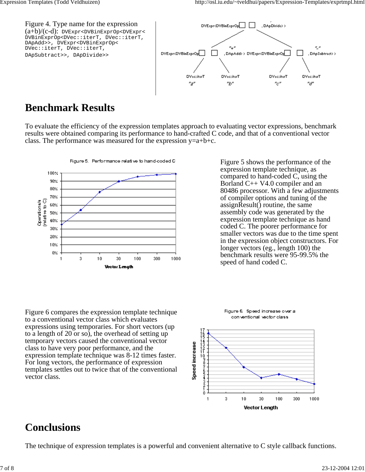

### **Benchmark Results**

To evaluate the efficiency of the expression templates approach to evaluating vector expressions, benchmark results were obtained comparing its performance to hand-crafted C code, and that of a conventional vector class. The performance was measured for the expression  $y=a+b+c$ .



Figure 6 compares the expression template technique to a conventional vector class which evaluates expressions using temporaries. For short vectors (up to a length of 20 or so), the overhead of setting up temporary vectors caused the conventional vector class to have very poor performance, and the expression template technique was 8-12 times faster. For long vectors, the performance of expression templates settles out to twice that of the conventional vector class.

Figure 5 shows the performance of the expression template technique, as compared to hand-coded C, using the Borland C++ V4.0 compiler and an 80486 processor. With a few adjustments of compiler options and tuning of the assignResult() routine, the same assembly code was generated by the expression template technique as hand coded C. The poorer performance for smaller vectors was due to the time spent in the expression object constructors. For longer vectors (eg., length 100) the benchmark results were 95-99.5% the speed of hand coded C.



Figure 6. Speed increase over a conventional vector class

## **Conclusions**

The technique of expression templates is a powerful and convenient alternative to C style callback functions.